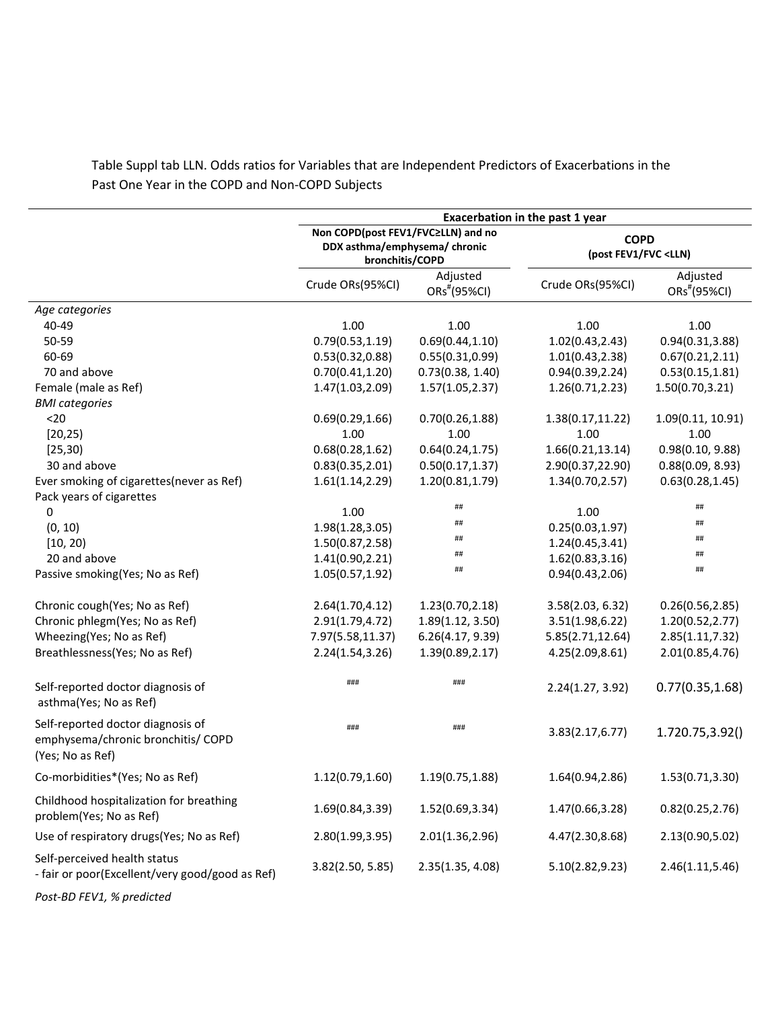|                                                                                             | Exacerbation in the past 1 year                                                        |                                      |                                                     |                                      |
|---------------------------------------------------------------------------------------------|----------------------------------------------------------------------------------------|--------------------------------------|-----------------------------------------------------|--------------------------------------|
|                                                                                             | Non COPD(post FEV1/FVC≥LLN) and no<br>DDX asthma/emphysema/ chronic<br>bronchitis/COPD |                                      | <b>COPD</b><br>(post FEV1/FVC <lln)< th=""></lln)<> |                                      |
|                                                                                             | Crude ORs(95%CI)                                                                       | Adjusted<br>ORs <sup>#</sup> (95%CI) | Crude ORs(95%CI)                                    | Adjusted<br>ORs <sup>#</sup> (95%CI) |
| Age categories                                                                              |                                                                                        |                                      |                                                     |                                      |
| 40-49                                                                                       | 1.00                                                                                   | 1.00                                 | 1.00                                                | 1.00                                 |
| 50-59                                                                                       | 0.79(0.53, 1.19)                                                                       | 0.69(0.44, 1.10)                     | 1.02(0.43, 2.43)                                    | 0.94(0.31, 3.88)                     |
| 60-69                                                                                       | 0.53(0.32, 0.88)                                                                       | 0.55(0.31, 0.99)                     | 1.01(0.43, 2.38)                                    | 0.67(0.21, 2.11)                     |
| 70 and above                                                                                | 0.70(0.41, 1.20)                                                                       | 0.73(0.38, 1.40)                     | 0.94(0.39, 2.24)                                    | 0.53(0.15, 1.81)                     |
| Female (male as Ref)                                                                        | 1.47(1.03, 2.09)                                                                       | 1.57(1.05, 2.37)                     | 1.26(0.71, 2.23)                                    | 1.50(0.70, 3.21)                     |
| <b>BMI</b> categories                                                                       |                                                                                        |                                      |                                                     |                                      |
| $20$                                                                                        | 0.69(0.29, 1.66)                                                                       | 0.70(0.26, 1.88)                     | 1.38(0.17, 11.22)                                   | 1.09(0.11, 10.91)                    |
| [20, 25]                                                                                    | 1.00                                                                                   | 1.00                                 | 1.00                                                | 1.00                                 |
| [25, 30]                                                                                    | 0.68(0.28, 1.62)                                                                       | 0.64(0.24, 1.75)                     | 1.66(0.21, 13.14)                                   | 0.98(0.10, 9.88)                     |
| 30 and above                                                                                | 0.83(0.35, 2.01)                                                                       | 0.50(0.17, 1.37)                     | 2.90(0.37,22.90)                                    | 0.88(0.09, 8.93)                     |
| Ever smoking of cigarettes(never as Ref)                                                    | 1.61(1.14, 2.29)                                                                       | 1.20(0.81, 1.79)                     | 1.34(0.70, 2.57)                                    | 0.63(0.28, 1.45)                     |
| Pack years of cigarettes                                                                    |                                                                                        |                                      |                                                     |                                      |
| 0                                                                                           | 1.00                                                                                   | ##                                   | 1.00                                                | ##                                   |
| (0, 10)                                                                                     | 1.98(1.28, 3.05)                                                                       | ##                                   | 0.25(0.03, 1.97)                                    | ##                                   |
| [10, 20]                                                                                    | 1.50(0.87, 2.58)                                                                       | ##                                   | 1.24(0.45, 3.41)                                    | ##                                   |
| 20 and above                                                                                | 1.41(0.90, 2.21)                                                                       | ##                                   | 1.62(0.83, 3.16)                                    | $\# \#$                              |
| Passive smoking(Yes; No as Ref)                                                             | 1.05(0.57, 1.92)                                                                       | ##                                   | 0.94(0.43, 2.06)                                    | $\# \#$                              |
| Chronic cough(Yes; No as Ref)                                                               | 2.64(1.70, 4.12)                                                                       | 1.23(0.70, 2.18)                     | 3.58(2.03, 6.32)                                    | 0.26(0.56, 2.85)                     |
| Chronic phlegm(Yes; No as Ref)                                                              | 2.91(1.79, 4.72)                                                                       | 1.89(1.12, 3.50)                     | 3.51(1.98, 6.22)                                    | 1.20(0.52, 2.77)                     |
| Wheezing(Yes; No as Ref)                                                                    | 7.97(5.58,11.37)                                                                       | 6.26(4.17, 9.39)                     | 5.85(2.71,12.64)                                    | 2.85(1.11, 7.32)                     |
| Breathlessness (Yes; No as Ref)                                                             | 2.24(1.54, 3.26)                                                                       | 1.39(0.89, 2.17)                     | 4.25(2.09,8.61)                                     | 2.01(0.85, 4.76)                     |
| Self-reported doctor diagnosis of<br>asthma(Yes; No as Ref)                                 | ###                                                                                    | ###                                  | 2.24(1.27, 3.92)                                    | 0.77(0.35, 1.68)                     |
| Self-reported doctor diagnosis of<br>emphysema/chronic bronchitis/ COPD<br>(Yes; No as Ref) | ###                                                                                    | ###                                  | 3.83(2.17, 6.77)                                    | 1.720.75, 3.92()                     |
| Co-morbidities*(Yes; No as Ref)                                                             | 1.12(0.79, 1.60)                                                                       | 1.19(0.75, 1.88)                     | 1.64(0.94,2.86)                                     | 1.53(0.71, 3.30)                     |
| Childhood hospitalization for breathing<br>problem(Yes; No as Ref)                          | 1.69(0.84, 3.39)                                                                       | 1.52(0.69, 3.34)                     | 1.47(0.66,3.28)                                     | 0.82(0.25, 2.76)                     |
| Use of respiratory drugs (Yes; No as Ref)                                                   | 2.80(1.99, 3.95)                                                                       | 2.01(1.36, 2.96)                     | 4.47(2.30,8.68)                                     | 2.13(0.90,5.02)                      |
| Self-perceived health status<br>- fair or poor(Excellent/very good/good as Ref)             | 3.82(2.50, 5.85)                                                                       | 2.35(1.35, 4.08)                     | 5.10(2.82,9.23)                                     | 2.46(1.11, 5.46)                     |
|                                                                                             |                                                                                        |                                      |                                                     |                                      |

Table Suppl tab LLN. Odds ratios for Variables that are Independent Predictors of Exacerbations in the Past One Year in the COPD and Non-COPD Subjects

*Post-BD FEV1, % predicted*